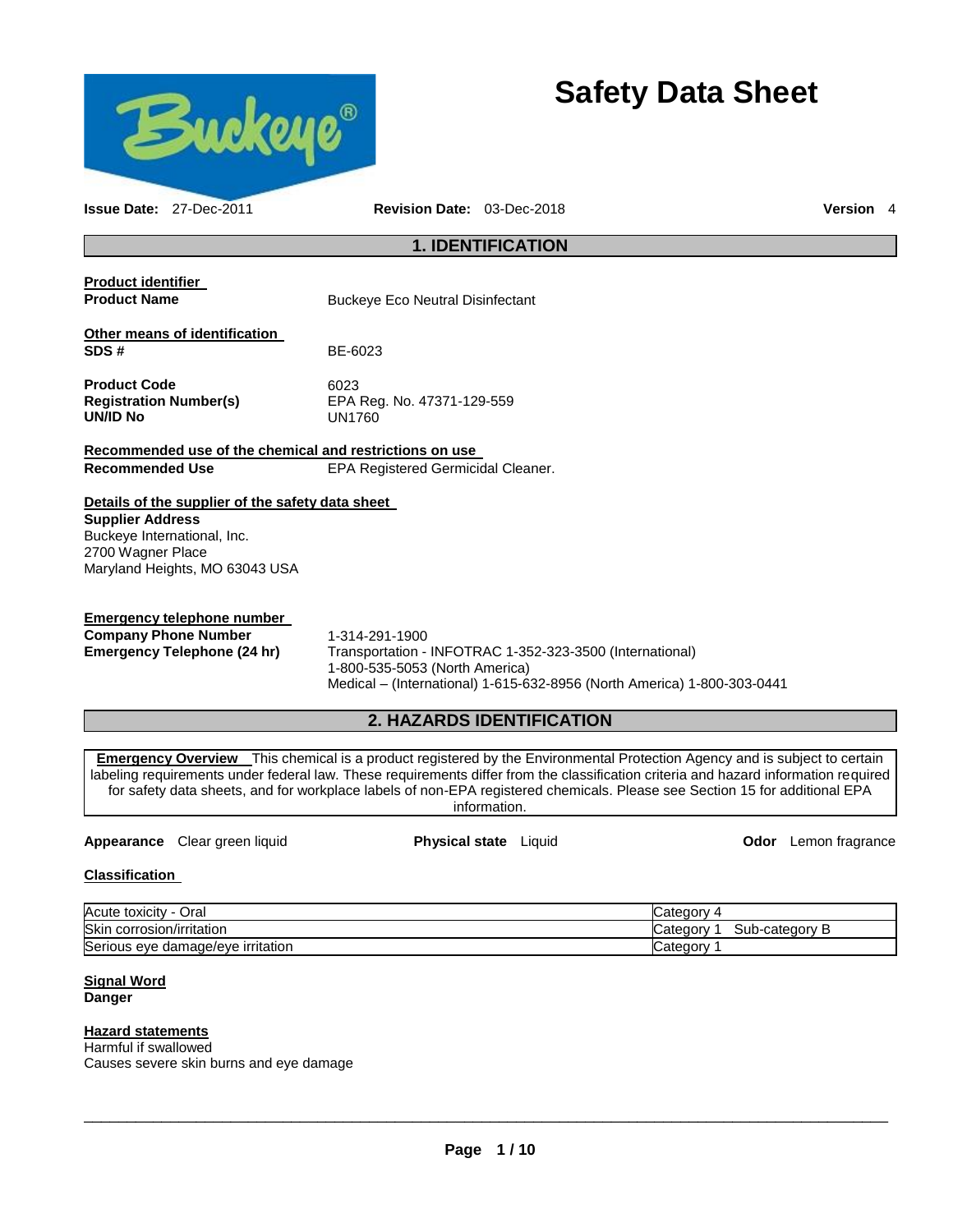

# **Safety Data Sheet**

**Issue Date:** 27-Dec-2011 **Revision Date:** 03-Dec-2018 **Version** 4 **1. IDENTIFICATION Product identifier Product Name Buckeye Eco Neutral Disinfectant Other means of identification SDS #** BE-6023 Product Code 6023 **Registration Number(s)** EPA Reg. No. 47371-129-559 **UN/ID No** UN1760 **Recommended use of the chemical and restrictions on use Recommended Use** EPA Registered Germicidal Cleaner. **Details of the supplier of the safety data sheet Supplier Address** Buckeye International, Inc. 2700 Wagner Place Maryland Heights, MO 63043 USA **Emergency telephone number Company Phone Number** 1-314-291-1900 **Emergency Telephone (24 hr)** Transportation - INFOTRAC 1-352-323-3500 (International) 1-800-535-5053 (North America) Medical – (International) 1-615-632-8956 (North America) 1-800-303-0441 **2. HAZARDS IDENTIFICATION Emergency Overview** This chemical is a product registered by the Environmental Protection Agency and is subject to certain labeling requirements under federal law. These requirements differ from the classification criteria and hazard information required for safety data sheets, and for workplace labels of non-EPA registered chemicals. Please see Section 15 for additional EPA information.

### **Appearance** Clear green liquid **Physical state** Liquid **Odor** Lemon fragrance

### **Classification**

| Acute toxicity<br>Oral                       | Categor ⊖                 |
|----------------------------------------------|---------------------------|
| <b>Skir</b><br>corrosion/irritation          | Sub-category B<br>Categor |
| ⌒<br>'s eye damage/eye irritation<br>Serious | Category                  |

### **Signal Word Danger**

## **Hazard statements**

Harmful if swallowed Causes severe skin burns and eye damage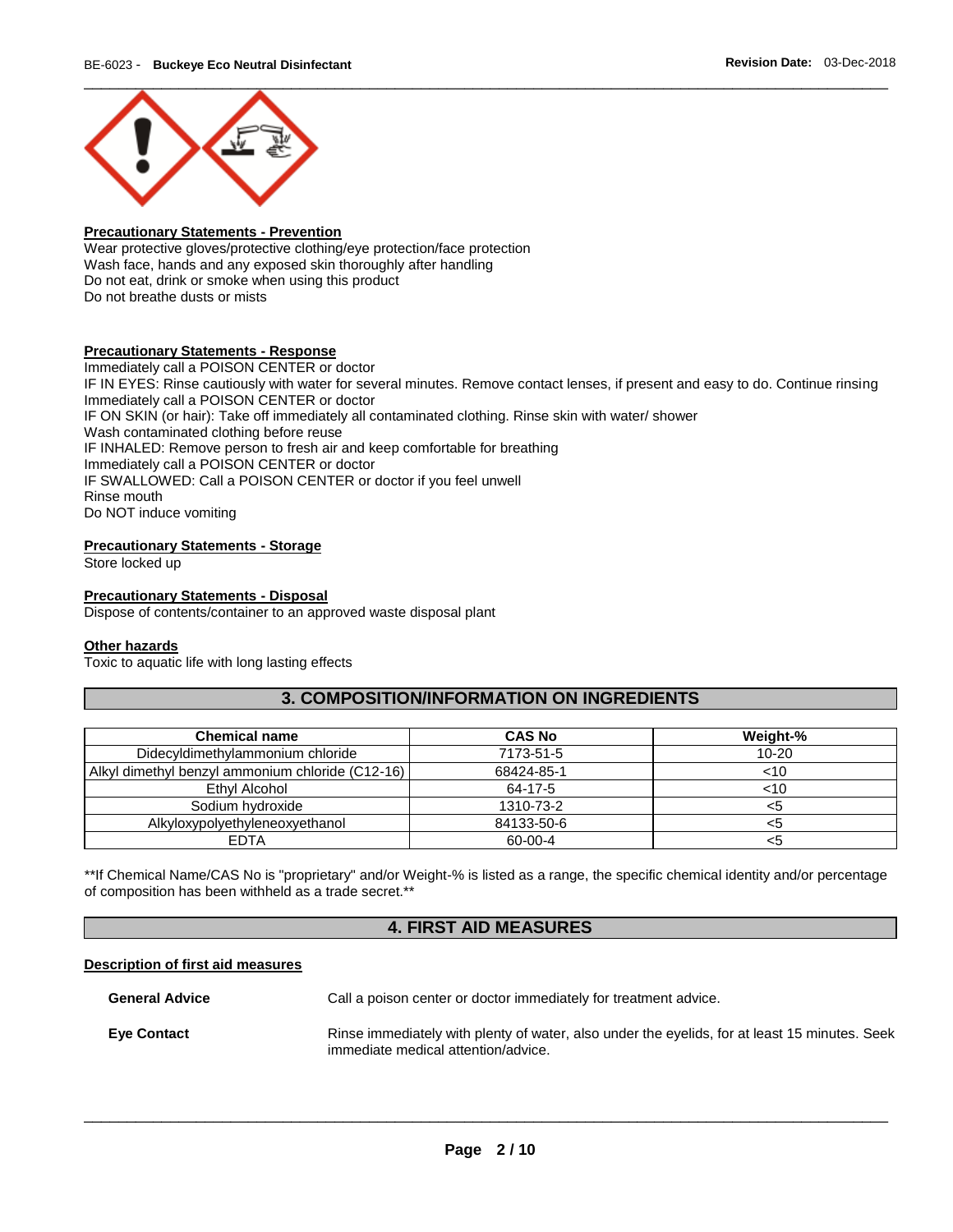

### **Precautionary Statements - Prevention**

Wear protective gloves/protective clothing/eye protection/face protection Wash face, hands and any exposed skin thoroughly after handling Do not eat, drink or smoke when using this product Do not breathe dusts or mists

### **Precautionary Statements - Response**

Immediately call a POISON CENTER or doctor IF IN EYES: Rinse cautiously with water for several minutes. Remove contact lenses, if present and easy to do. Continue rinsing Immediately call a POISON CENTER or doctor IF ON SKIN (or hair): Take off immediately all contaminated clothing. Rinse skin with water/ shower Wash contaminated clothing before reuse IF INHALED: Remove person to fresh air and keep comfortable for breathing Immediately call a POISON CENTER or doctor IF SWALLOWED: Call a POISON CENTER or doctor if you feel unwell Rinse mouth Do NOT induce vomiting

### **Precautionary Statements - Storage**

Store locked up

### **Precautionary Statements - Disposal**

Dispose of contents/container to an approved waste disposal plant

### **Other hazards**

Toxic to aquatic life with long lasting effects

# **3. COMPOSITION/INFORMATION ON INGREDIENTS**

| <b>Chemical name</b>                             | <b>CAS No</b> | Weight-%  |
|--------------------------------------------------|---------------|-----------|
| Didecyldimethylammonium chloride                 | 7173-51-5     | $10 - 20$ |
| Alkyl dimethyl benzyl ammonium chloride (C12-16) | 68424-85-1    | $<$ 10    |
| Ethyl Alcohol                                    | 64-17-5       | ~10       |
| Sodium hydroxide                                 | 1310-73-2     | <5        |
| Alkyloxypolyethyleneoxyethanol                   | 84133-50-6    | <5        |
| EDTA                                             | 60-00-4       | <5        |

\*\*If Chemical Name/CAS No is "proprietary" and/or Weight-% is listed as a range, the specific chemical identity and/or percentage of composition has been withheld as a trade secret.\*\*

# **4. FIRST AID MEASURES**

### **Description of first aid measures**

| <b>General Advice</b> | Call a poison center or doctor immediately for treatment advice.                                                                     |
|-----------------------|--------------------------------------------------------------------------------------------------------------------------------------|
| <b>Eve Contact</b>    | Rinse immediately with plenty of water, also under the eyelids, for at least 15 minutes. Seek<br>immediate medical attention/advice. |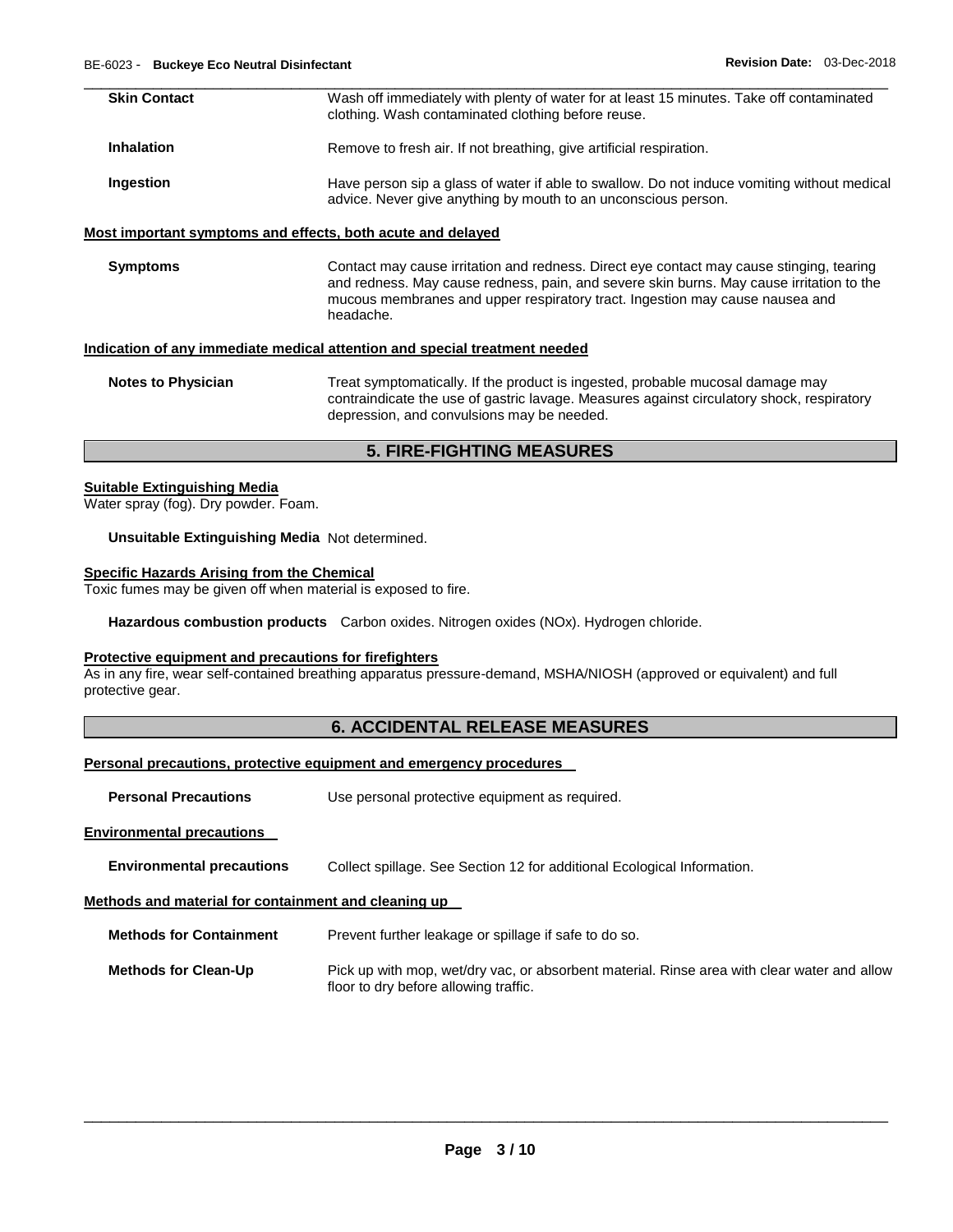| <b>Skin Contact</b> | Wash off immediately with plenty of water for at least 15 minutes. Take off contaminated<br>clothing. Wash contaminated clothing before reuse.                |
|---------------------|---------------------------------------------------------------------------------------------------------------------------------------------------------------|
| Inhalation          | Remove to fresh air. If not breathing, give artificial respiration.                                                                                           |
| Ingestion           | Have person sip a glass of water if able to swallow. Do not induce vomiting without medical<br>advice. Never give anything by mouth to an unconscious person. |

### **Most important symptoms and effects, both acute and delayed**

**Symptoms Contact may cause irritation and redness. Direct eye contact may cause stinging, tearing** and redness. May cause redness, pain, and severe skin burns. May cause irritation to the mucous membranes and upper respiratory tract. Ingestion may cause nausea and headache.

### **Indication of any immediate medical attention and special treatment needed**

| <b>Notes to Physician</b> | Treat symptomatically. If the product is ingested, probable mucosal damage may            |
|---------------------------|-------------------------------------------------------------------------------------------|
|                           | contraindicate the use of gastric lavage. Measures against circulatory shock, respiratory |
|                           | depression, and convulsions may be needed.                                                |

### **5. FIRE-FIGHTING MEASURES**

### **Suitable Extinguishing Media**

Water spray (fog). Dry powder. Foam.

**Unsuitable Extinguishing Media** Not determined.

### **Specific Hazards Arising from the Chemical**

Toxic fumes may be given off when material is exposed to fire.

**Hazardous combustion products** Carbon oxides. Nitrogen oxides (NOx). Hydrogen chloride.

### **Protective equipment and precautions for firefighters**

As in any fire, wear self-contained breathing apparatus pressure-demand, MSHA/NIOSH (approved or equivalent) and full protective gear.

## **6. ACCIDENTAL RELEASE MEASURES**

### **Personal precautions, protective equipment and emergency procedures**

**Personal Precautions Use personal protective equipment as required.** 

**Environmental precautions** 

**Environmental precautions** Collect spillage. See Section 12 for additional Ecological Information.

### **Methods and material for containment and cleaning up**

**Methods for Containment** Prevent further leakage or spillage if safe to do so.

**Methods for Clean-Up** Pick up with mop, wet/dry vac, or absorbent material. Rinse area with clear water and allow floor to dry before allowing traffic.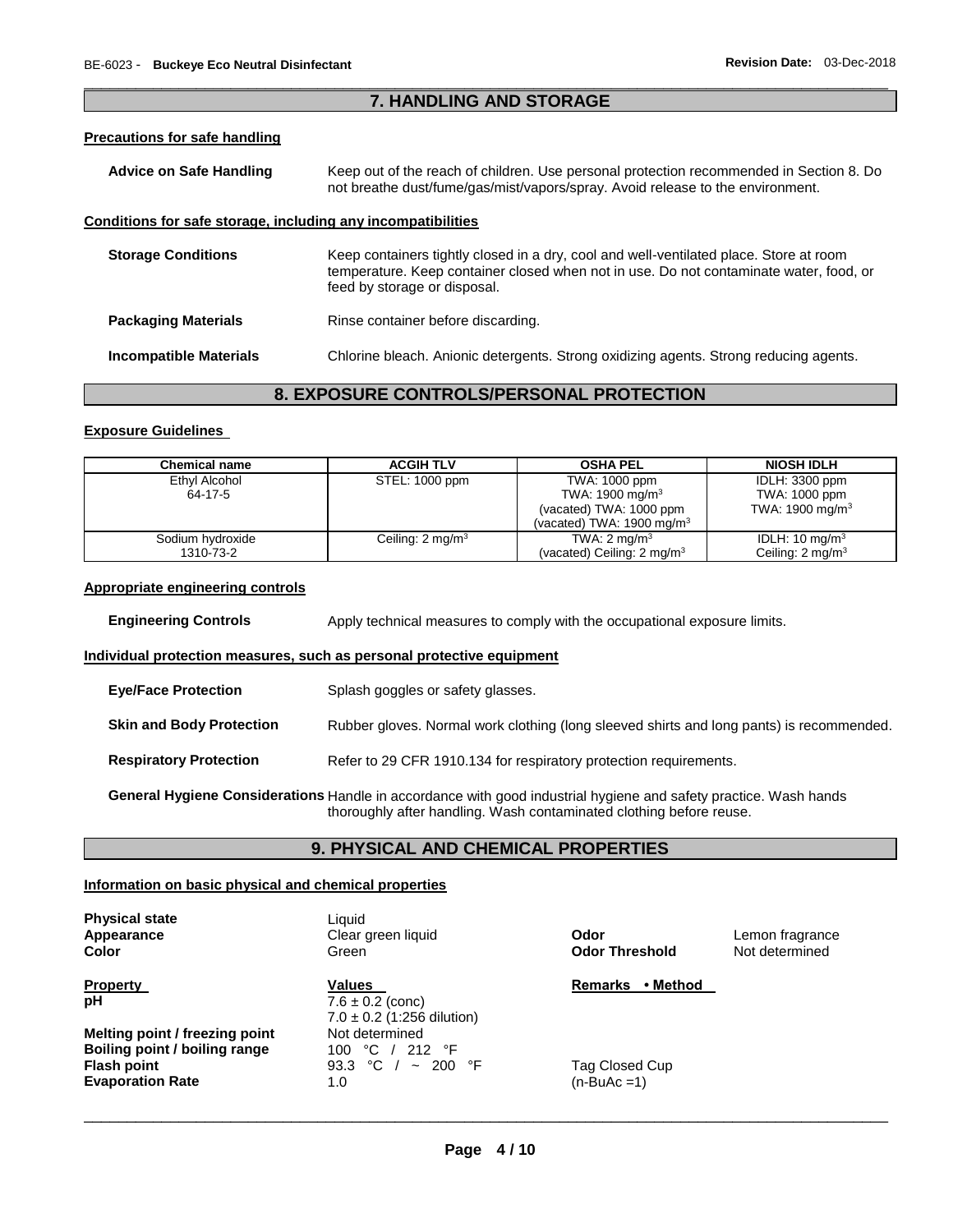### \_\_\_\_\_\_\_\_\_\_\_\_\_\_\_\_\_\_\_\_\_\_\_\_\_\_\_\_\_\_\_\_\_\_\_\_\_\_\_\_\_\_\_\_\_\_\_\_\_\_\_\_\_\_\_\_\_\_\_\_\_\_\_\_\_\_\_\_\_\_\_\_\_\_\_\_\_\_\_\_\_\_\_\_\_\_\_\_\_\_\_\_\_ **7. HANDLING AND STORAGE**

### **Precautions for safe handling**

| Advice on Safe Handling                                      | Keep out of the reach of children. Use personal protection recommended in Section 8. Do<br>not breathe dust/fume/gas/mist/vapors/spray. Avoid release to the environment.                                        |  |
|--------------------------------------------------------------|------------------------------------------------------------------------------------------------------------------------------------------------------------------------------------------------------------------|--|
| Conditions for safe storage, including any incompatibilities |                                                                                                                                                                                                                  |  |
| <b>Storage Conditions</b>                                    | Keep containers tightly closed in a dry, cool and well-ventilated place. Store at room<br>temperature. Keep container closed when not in use. Do not contaminate water, food, or<br>feed by storage or disposal. |  |
| <b>Packaging Materials</b>                                   | Rinse container before discarding.                                                                                                                                                                               |  |
| <b>Incompatible Materials</b>                                | Chlorine bleach. Anionic detergents. Strong oxidizing agents. Strong reducing agents.                                                                                                                            |  |

# **8. EXPOSURE CONTROLS/PERSONAL PROTECTION**

### **Exposure Guidelines**

| <b>Chemical name</b> | <b>ACGIH TLV</b>            | <b>OSHA PEL</b>                       | <b>NIOSH IDLH</b>           |
|----------------------|-----------------------------|---------------------------------------|-----------------------------|
| Ethyl Alcohol        | STEL: 1000 ppm              | TWA: 1000 ppm                         | IDLH: 3300 ppm              |
| 64-17-5              |                             | TWA: 1900 mg/m <sup>3</sup>           | TWA: 1000 ppm               |
|                      |                             | (vacated) TWA: 1000 ppm               | TWA: 1900 mg/m $3$          |
|                      |                             | (vacated) TWA: 1900 mg/m $3$          |                             |
| Sodium hydroxide     | Ceiling: $2 \text{ mg/m}^3$ | TWA: $2 \text{ mg/m}^3$               | IDLH: $10 \text{ mg/m}^3$   |
| 1310-73-2            |                             | (vacated) Ceiling: $2 \text{ mg/m}^3$ | Ceiling: $2 \text{ mg/m}^3$ |

### **Appropriate engineering controls**

| <b>Engineering Controls</b> | Apply technical measures to comply with the occupational exposure limits. |  |
|-----------------------------|---------------------------------------------------------------------------|--|
|                             |                                                                           |  |

### **Individual protection measures, such as personal protective equipment**

| <b>Eye/Face Protection</b>                                                                                                                                                              | Splash goggles or safety glasses.                                                        |  |
|-----------------------------------------------------------------------------------------------------------------------------------------------------------------------------------------|------------------------------------------------------------------------------------------|--|
| <b>Skin and Body Protection</b>                                                                                                                                                         | Rubber gloves. Normal work clothing (long sleeved shirts and long pants) is recommended. |  |
| <b>Respiratory Protection</b>                                                                                                                                                           | Refer to 29 CFR 1910.134 for respiratory protection requirements.                        |  |
| General Hygiene Considerations Handle in accordance with good industrial hygiene and safety practice. Wash hands<br>thoroughly after handling. Wash contaminated clothing before reuse. |                                                                                          |  |

### **9. PHYSICAL AND CHEMICAL PROPERTIES**

### **Information on basic physical and chemical properties**

| Lemon fragrance<br>Not determined |
|-----------------------------------|
| • Method                          |
|                                   |
|                                   |
|                                   |
|                                   |
|                                   |
|                                   |
|                                   |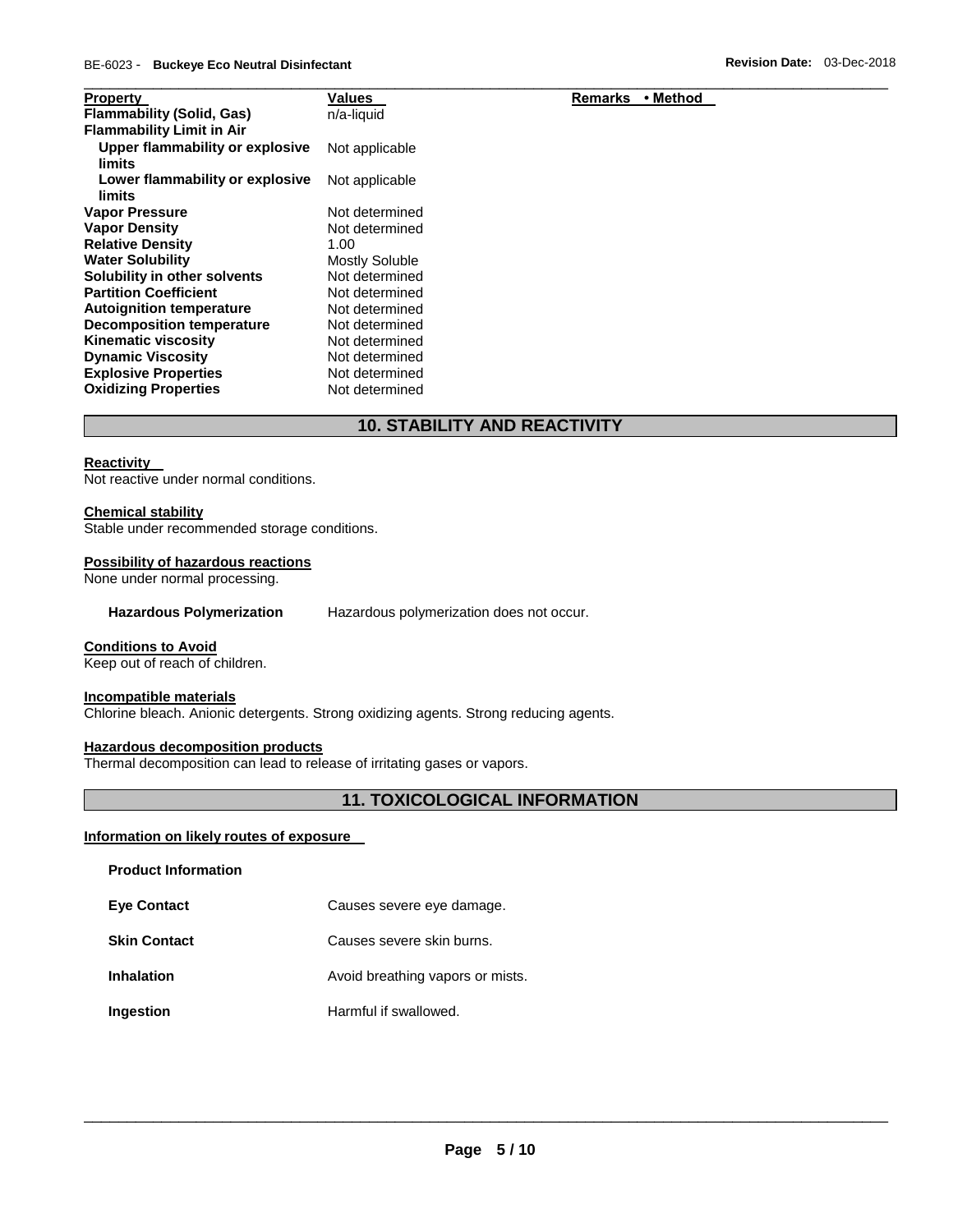| <b>Property</b>                           | Values                | • Method<br>Remarks |
|-------------------------------------------|-----------------------|---------------------|
| <b>Flammability (Solid, Gas)</b>          | n/a-liquid            |                     |
| <b>Flammability Limit in Air</b>          |                       |                     |
| Upper flammability or explosive<br>limits | Not applicable        |                     |
| Lower flammability or explosive<br>limits | Not applicable        |                     |
| <b>Vapor Pressure</b>                     | Not determined        |                     |
| <b>Vapor Density</b>                      | Not determined        |                     |
| <b>Relative Density</b>                   | 1.00                  |                     |
| <b>Water Solubility</b>                   | <b>Mostly Soluble</b> |                     |
| Solubility in other solvents              | Not determined        |                     |
| <b>Partition Coefficient</b>              | Not determined        |                     |
| <b>Autoignition temperature</b>           | Not determined        |                     |
| <b>Decomposition temperature</b>          | Not determined        |                     |
| <b>Kinematic viscosity</b>                | Not determined        |                     |
| <b>Dynamic Viscosity</b>                  | Not determined        |                     |
| <b>Explosive Properties</b>               | Not determined        |                     |
| <b>Oxidizing Properties</b>               | Not determined        |                     |

# **10. STABILITY AND REACTIVITY**

### **Reactivity**

Not reactive under normal conditions.

### **Chemical stability**

Stable under recommended storage conditions.

### **Possibility of hazardous reactions**

None under normal processing.

**Hazardous Polymerization** Hazardous polymerization does not occur.

### **Conditions to Avoid**

Keep out of reach of children.

### **Incompatible materials**

Chlorine bleach. Anionic detergents. Strong oxidizing agents. Strong reducing agents.

### **Hazardous decomposition products**

Thermal decomposition can lead to release of irritating gases or vapors.

# **11. TOXICOLOGICAL INFORMATION**

### **Information on likely routes of exposure**

| <b>Product Information</b> |                                  |
|----------------------------|----------------------------------|
| <b>Eve Contact</b>         | Causes severe eye damage.        |
| <b>Skin Contact</b>        | Causes severe skin burns.        |
| Inhalation                 | Avoid breathing vapors or mists. |
| Ingestion                  | Harmful if swallowed.            |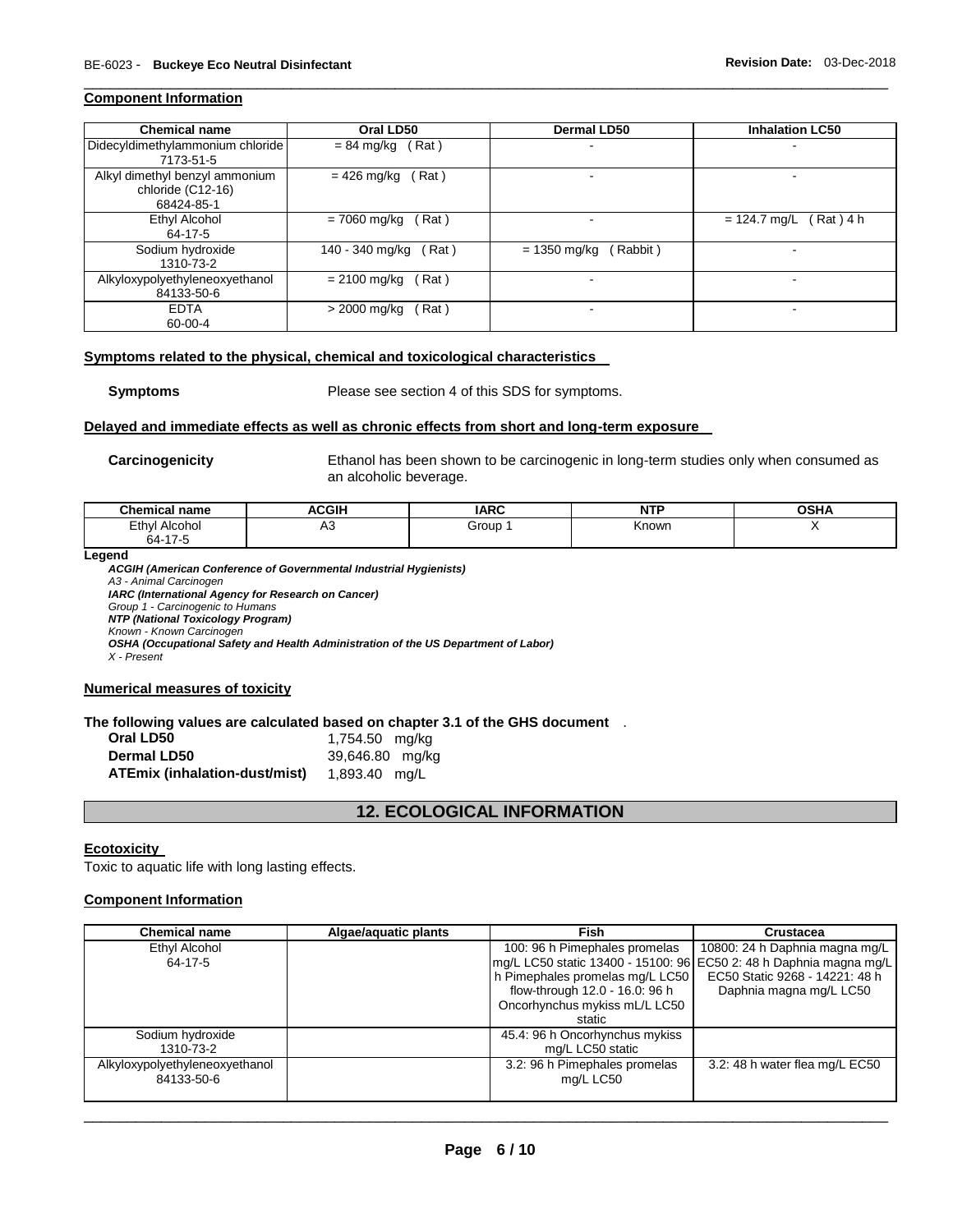### **Component Information**

| <b>Chemical name</b>                                              | Oral LD50                | <b>Dermal LD50</b>         | <b>Inhalation LC50</b>     |
|-------------------------------------------------------------------|--------------------------|----------------------------|----------------------------|
| Didecyldimethylammonium chloride<br>7173-51-5                     | (Rat)<br>$= 84$ mg/kg    |                            |                            |
| Alkyl dimethyl benzyl ammonium<br>chloride (C12-16)<br>68424-85-1 | Rat)<br>$= 426$ mg/kg    |                            |                            |
| Ethyl Alcohol<br>64-17-5                                          | (Rat)<br>= 7060 mg/kg    |                            | Rat) 4 h<br>$= 124.7$ mg/L |
| Sodium hydroxide<br>1310-73-2                                     | 140 - 340 mg/kg<br>(Rat) | (Rabbit)<br>$= 1350$ mg/kg |                            |
| Alkyloxypolyethyleneoxyethanol<br>84133-50-6                      | $= 2100$ mg/kg<br>(Rat)  | -                          |                            |
| <b>EDTA</b><br>60-00-4                                            | > 2000 mg/kg<br>(Rat)    |                            |                            |

\_\_\_\_\_\_\_\_\_\_\_\_\_\_\_\_\_\_\_\_\_\_\_\_\_\_\_\_\_\_\_\_\_\_\_\_\_\_\_\_\_\_\_\_\_\_\_\_\_\_\_\_\_\_\_\_\_\_\_\_\_\_\_\_\_\_\_\_\_\_\_\_\_\_\_\_\_\_\_\_\_\_\_\_\_\_\_\_\_\_\_\_\_

### **Symptoms related to the physical, chemical and toxicological characteristics**

**Symptoms** Please see section 4 of this SDS for symptoms.

### **Delayed and immediate effects as well as chronic effects from short and long-term exposure**

**Carcinogenicity** Ethanol has been shown to be carcinogenic in long-term studies only when consumed as an alcoholic beverage.

| $\cap$ hamiaa<br>name<br>ынашса   | $C$ $U$<br>AUGII | <b>IADC</b> | <b>NTP</b><br>. | OCD<br>חוטע |
|-----------------------------------|------------------|-------------|-----------------|-------------|
| Ethyl<br>Alcohoi<br>$-4-$<br>64-1 | A3               | Group       | Knowr           |             |

**Legend** 

*ACGIH (American Conference of Governmental Industrial Hygienists) A3 - Animal Carcinogen IARC (International Agency for Research on Cancer) Group 1 - Carcinogenic to Humans NTP (National Toxicology Program) Known - Known Carcinogen OSHA (Occupational Safety and Health Administration of the US Department of Labor) X - Present* 

### **Numerical measures of toxicity**

### **The following values are calculated based on chapter 3.1 of the GHS document** .

| Oral LD50                     | 1,754.50 mg/kg  |
|-------------------------------|-----------------|
| Dermal LD50                   | 39,646.80 mg/kg |
| ATEmix (inhalation-dust/mist) | 1,893.40 mg/L   |

## **12. ECOLOGICAL INFORMATION**

### **Ecotoxicity**

Toxic to aquatic life with long lasting effects.

### **Component Information**

| <b>Chemical name</b>           | Algae/aquatic plants | Fish                            | <b>Crustacea</b>                                                   |
|--------------------------------|----------------------|---------------------------------|--------------------------------------------------------------------|
| Ethyl Alcohol                  |                      | 100: 96 h Pimephales promelas   | 10800: 24 h Daphnia magna mg/L                                     |
| 64-17-5                        |                      |                                 | mg/L LC50 static 13400 - 15100: 96 EC50 2: 48 h Daphnia magna mg/L |
|                                |                      | h Pimephales promelas mg/L LC50 | EC50 Static 9268 - 14221: 48 h                                     |
|                                |                      | flow-through 12.0 - 16.0: 96 h  | Daphnia magna mg/L LC50                                            |
|                                |                      | Oncorhynchus mykiss mL/L LC50   |                                                                    |
|                                |                      | static                          |                                                                    |
| Sodium hydroxide               |                      | 45.4: 96 h Oncorhynchus mykiss  |                                                                    |
| 1310-73-2                      |                      | mg/L LC50 static                |                                                                    |
| Alkyloxypolyethyleneoxyethanol |                      | 3.2: 96 h Pimephales promelas   | 3.2: 48 h water flea mg/L EC50                                     |
| 84133-50-6                     |                      | mg/L LC50                       |                                                                    |
|                                |                      |                                 |                                                                    |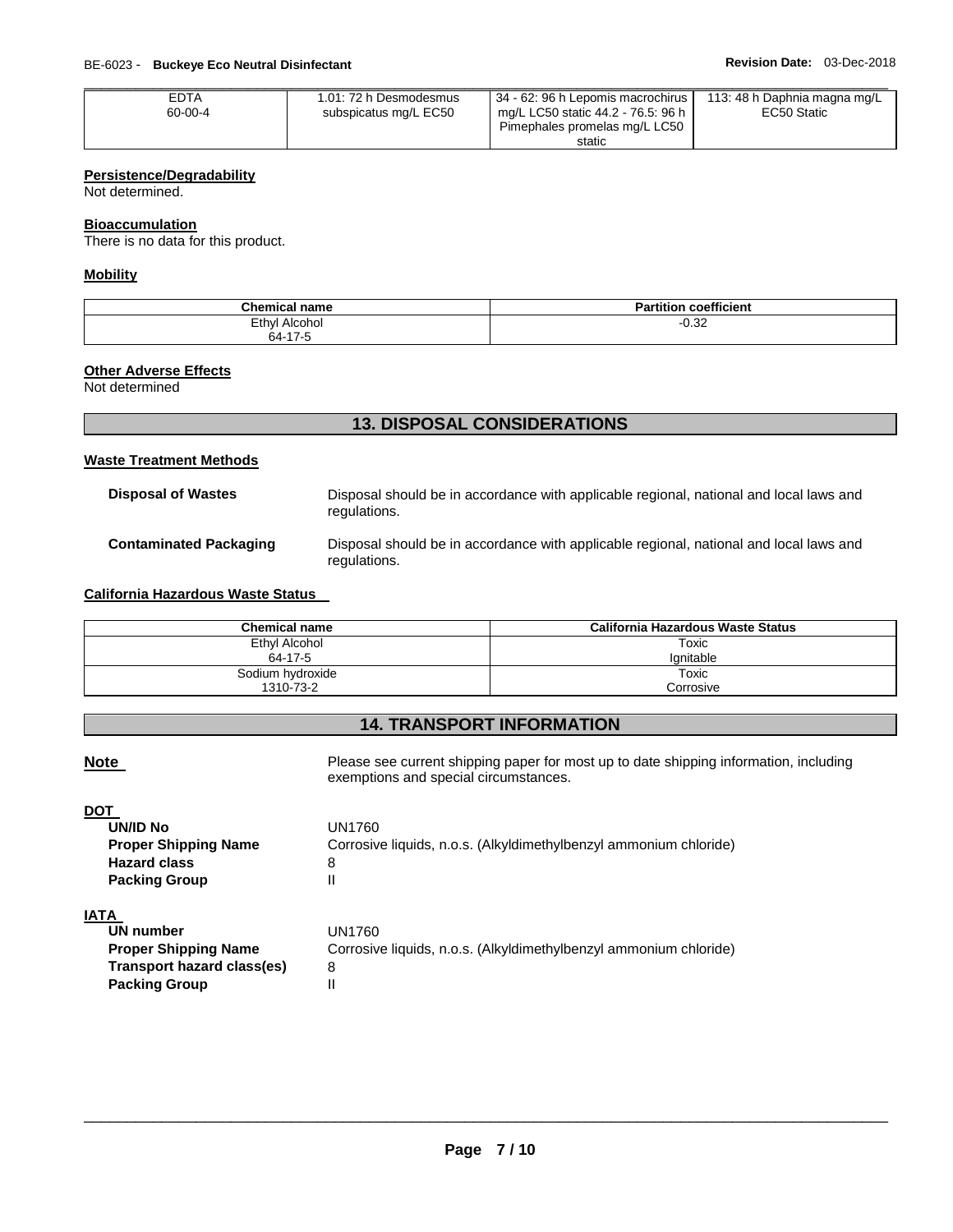| <b>EDTA</b> | 1.01: 72 h Desmodesmus | 34 - 62: 96 h Lepomis macrochirus                                   | 113: 48 h Daphnia magna mg/L |
|-------------|------------------------|---------------------------------------------------------------------|------------------------------|
| 60-00-4     | subspicatus mg/L EC50  | mg/L LC50 static 44.2 - 76.5: 96 h<br>Pimephales promelas mg/L LC50 | EC50 Static                  |
|             |                        | static                                                              |                              |

### **Persistence/Degradability**

Not determined.

### **Bioaccumulation**

There is no data for this product.

### **Mobility**

| $R_{\rm max}$<br>emical name<br>neı                    | $\overline{\phantom{a}}$<br><b>coefficient</b><br>п.<br>ш<br>- 11 |
|--------------------------------------------------------|-------------------------------------------------------------------|
| Ethyl<br>Alcohol<br>the control of the control of<br>. | ົດ<br>∪.J∠                                                        |
| 1.47<br>64 ·                                           |                                                                   |

# **Other Adverse Effects**

Not determined

# **13. DISPOSAL CONSIDERATIONS**

### **Waste Treatment Methods**

| <b>Disposal of Wastes</b>     | Disposal should be in accordance with applicable regional, national and local laws and<br>regulations. |
|-------------------------------|--------------------------------------------------------------------------------------------------------|
| <b>Contaminated Packaging</b> | Disposal should be in accordance with applicable regional, national and local laws and<br>regulations. |

### **California Hazardous Waste Status**

| Chemical name    | California Hazardous Waste Status |
|------------------|-----------------------------------|
| Ethyl Alcohol    | Toxic                             |
| 64-17-5          | lanitable                         |
| Sodium hydroxide | Toxic                             |
| 1310-73-2        | Corrosive                         |

## **14. TRANSPORT INFORMATION**

**Note** Please see current shipping paper for most up to date shipping information, including exemptions and special circumstances.

### **DOT**

| UN/ID No                    | UN1760                                                            |
|-----------------------------|-------------------------------------------------------------------|
| <b>Proper Shipping Name</b> | Corrosive liquids, n.o.s. (Alkyldimethylbenzyl ammonium chloride) |
| <b>Hazard class</b>         | 8                                                                 |
| <b>Packing Group</b>        |                                                                   |

# **IATA**

| UN number                   | UN1760.                                                           |
|-----------------------------|-------------------------------------------------------------------|
| <b>Proper Shipping Name</b> | Corrosive liquids, n.o.s. (Alkyldimethylbenzyl ammonium chloride) |
| Transport hazard class(es)  | 8                                                                 |
| <b>Packing Group</b>        |                                                                   |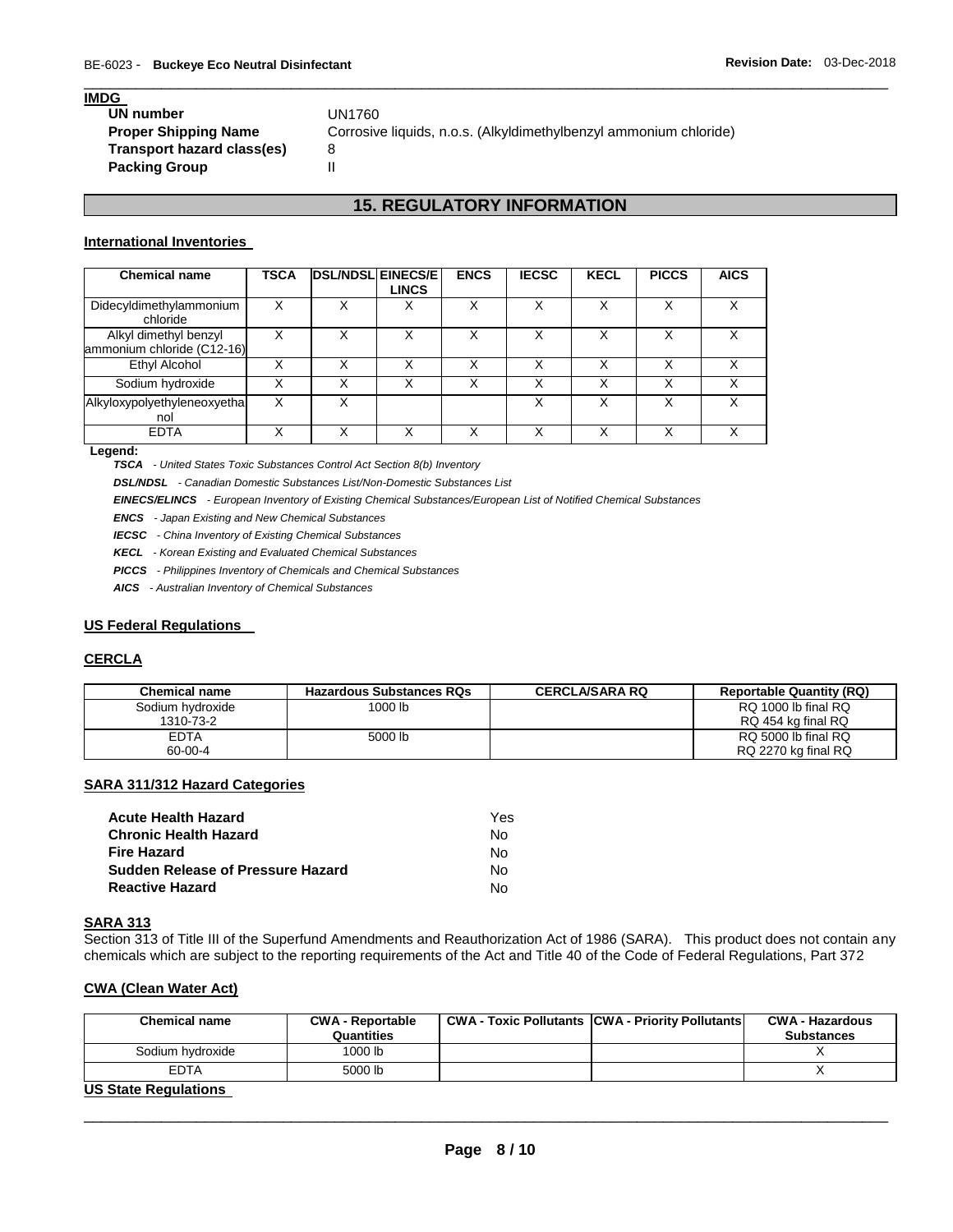### **IMDG**

| UN number                   | UN1760                                                            |
|-----------------------------|-------------------------------------------------------------------|
| <b>Proper Shipping Name</b> | Corrosive liquids, n.o.s. (Alkyldimethylbenzyl ammonium chloride) |
| Transport hazard class(es)  |                                                                   |
| <b>Packing Group</b>        |                                                                   |

# **15. REGULATORY INFORMATION**

\_\_\_\_\_\_\_\_\_\_\_\_\_\_\_\_\_\_\_\_\_\_\_\_\_\_\_\_\_\_\_\_\_\_\_\_\_\_\_\_\_\_\_\_\_\_\_\_\_\_\_\_\_\_\_\_\_\_\_\_\_\_\_\_\_\_\_\_\_\_\_\_\_\_\_\_\_\_\_\_\_\_\_\_\_\_\_\_\_\_\_\_\_

### **International Inventories**

| <b>Chemical name</b>                                | <b>TSCA</b> | <b>DSL/NDSL EINECS/E</b> | <b>LINCS</b> | <b>ENCS</b> | <b>IECSC</b> | <b>KECL</b> | <b>PICCS</b> | <b>AICS</b> |
|-----------------------------------------------------|-------------|--------------------------|--------------|-------------|--------------|-------------|--------------|-------------|
| Didecyldimethylammonium<br>chloride                 | Χ           | X                        | Х            | х           | Χ            | x           |              | v           |
| Alkyl dimethyl benzyl<br>ammonium chloride (C12-16) |             |                          |              |             |              |             |              |             |
| Ethyl Alcohol                                       |             | X                        | X            | Χ           |              | Χ           |              |             |
| Sodium hydroxide                                    |             | х                        |              | Х           | х            |             |              |             |
| Alkyloxypolyethyleneoxyetha<br>nol                  | x           | X                        |              |             | Χ            | x           | X            | v           |
| <b>EDTA</b>                                         |             |                          |              |             |              |             |              |             |

### **Legend:**

*TSCA - United States Toxic Substances Control Act Section 8(b) Inventory* 

*DSL/NDSL - Canadian Domestic Substances List/Non-Domestic Substances List* 

*EINECS/ELINCS - European Inventory of Existing Chemical Substances/European List of Notified Chemical Substances* 

*ENCS - Japan Existing and New Chemical Substances* 

*IECSC - China Inventory of Existing Chemical Substances* 

*KECL - Korean Existing and Evaluated Chemical Substances* 

*PICCS - Philippines Inventory of Chemicals and Chemical Substances* 

*AICS - Australian Inventory of Chemical Substances* 

### **US Federal Regulations**

### **CERCLA**

| <b>Chemical name</b> | <b>Hazardous Substances RQs</b> | <b>CERCLA/SARA RQ</b> | <b>Reportable Quantity (RQ)</b> |
|----------------------|---------------------------------|-----------------------|---------------------------------|
| Sodium hydroxide     | 1000 lb                         |                       | RQ 1000 lb final RQ             |
| 1310-73-2            |                                 |                       | RQ 454 kg final RQ              |
| <b>EDTA</b>          | 5000 lb                         |                       | RQ 5000 lb final RQ             |
| 60-00-4              |                                 |                       | RQ 2270 kg final RQ             |

### **SARA 311/312 Hazard Categories**

| Acute Health Hazard               | Yes |
|-----------------------------------|-----|
| Chronic Health Hazard             | N٥  |
| Fire Hazard                       | N٥  |
| Sudden Release of Pressure Hazard | N٥  |
| Reactive Hazard                   | N٥  |

### **SARA 313**

Section 313 of Title III of the Superfund Amendments and Reauthorization Act of 1986 (SARA). This product does not contain any chemicals which are subject to the reporting requirements of the Act and Title 40 of the Code of Federal Regulations, Part 372

### **CWA (Clean Water Act)**

| <b>Chemical name</b>        | <b>CWA - Reportable</b> | <b>CWA - Toxic Pollutants CWA - Priority Pollutants</b> | <b>CWA - Hazardous</b> |
|-----------------------------|-------------------------|---------------------------------------------------------|------------------------|
|                             | Quantities              |                                                         | <b>Substances</b>      |
| Sodium hydroxide            | 1000 lb                 |                                                         |                        |
| <b>EDTA</b>                 | 5000 lb                 |                                                         |                        |
| <b>US State Regulations</b> |                         |                                                         |                        |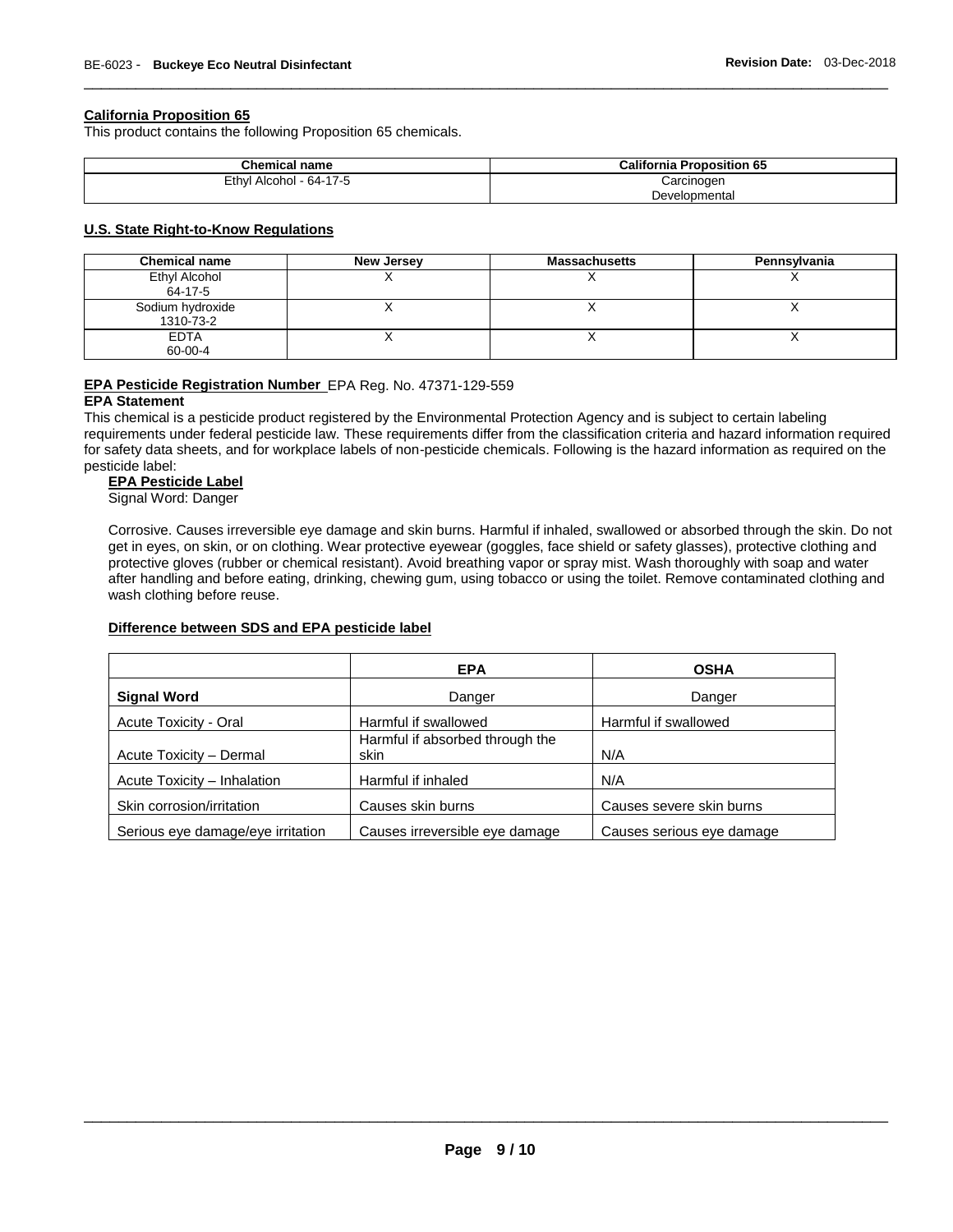### **California Proposition 65**

This product contains the following Proposition 65 chemicals.

| <b>Chemical name</b>    | <b>California Proposition 65</b> |
|-------------------------|----------------------------------|
| Ethyl Alcohol - 64-17-5 | Carcinogen                       |
|                         | Developmental                    |

\_\_\_\_\_\_\_\_\_\_\_\_\_\_\_\_\_\_\_\_\_\_\_\_\_\_\_\_\_\_\_\_\_\_\_\_\_\_\_\_\_\_\_\_\_\_\_\_\_\_\_\_\_\_\_\_\_\_\_\_\_\_\_\_\_\_\_\_\_\_\_\_\_\_\_\_\_\_\_\_\_\_\_\_\_\_\_\_\_\_\_\_\_

### **U.S. State Right-to-Know Regulations**

| <b>Chemical name</b>          | <b>New Jersey</b> | <b>Massachusetts</b> | Pennsylvania |
|-------------------------------|-------------------|----------------------|--------------|
| Ethyl Alcohol<br>64-17-5      |                   |                      |              |
| Sodium hydroxide<br>1310-73-2 |                   |                      |              |
| EDTA<br>60-00-4               |                   |                      |              |

## **EPA Pesticide Registration Number** EPA Reg. No. 47371-129-559

### **EPA Statement**

This chemical is a pesticide product registered by the Environmental Protection Agency and is subject to certain labeling requirements under federal pesticide law. These requirements differ from the classification criteria and hazard information required for safety data sheets, and for workplace labels of non-pesticide chemicals. Following is the hazard information as required on the pesticide label:

### **EPA Pesticide Label**

Signal Word: Danger

Corrosive. Causes irreversible eye damage and skin burns. Harmful if inhaled, swallowed or absorbed through the skin. Do not get in eyes, on skin, or on clothing. Wear protective eyewear (goggles, face shield or safety glasses), protective clothing and protective gloves (rubber or chemical resistant). Avoid breathing vapor or spray mist. Wash thoroughly with soap and water after handling and before eating, drinking, chewing gum, using tobacco or using the toilet. Remove contaminated clothing and wash clothing before reuse.

### **Difference between SDS and EPA pesticide label**

|                                   | <b>EPA</b>                              | <b>OSHA</b>               |
|-----------------------------------|-----------------------------------------|---------------------------|
| <b>Signal Word</b>                | Danger                                  | Danger                    |
| Acute Toxicity - Oral             | Harmful if swallowed                    | Harmful if swallowed      |
| Acute Toxicity - Dermal           | Harmful if absorbed through the<br>skin | N/A                       |
| Acute Toxicity - Inhalation       | Harmful if inhaled                      | N/A                       |
| Skin corrosion/irritation         | Causes skin burns                       | Causes severe skin burns  |
| Serious eye damage/eye irritation | Causes irreversible eye damage          | Causes serious eye damage |